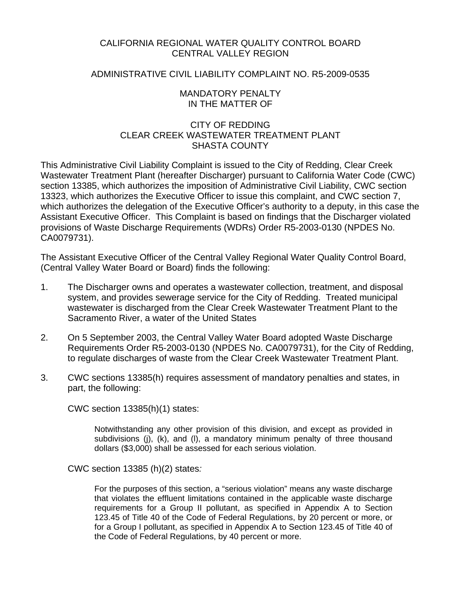### CALIFORNIA REGIONAL WATER QUALITY CONTROL BOARD CENTRAL VALLEY REGION

## ADMINISTRATIVE CIVIL LIABILITY COMPLAINT NO. R5-2009-0535

### MANDATORY PENALTY IN THE MATTER OF

### CITY OF REDDING CLEAR CREEK WASTEWATER TREATMENT PLANT SHASTA COUNTY

This Administrative Civil Liability Complaint is issued to the City of Redding, Clear Creek Wastewater Treatment Plant (hereafter Discharger) pursuant to California Water Code (CWC) section 13385, which authorizes the imposition of Administrative Civil Liability, CWC section 13323, which authorizes the Executive Officer to issue this complaint, and CWC section 7, which authorizes the delegation of the Executive Officer's authority to a deputy, in this case the Assistant Executive Officer. This Complaint is based on findings that the Discharger violated provisions of Waste Discharge Requirements (WDRs) Order R5-2003-0130 (NPDES No. CA0079731).

The Assistant Executive Officer of the Central Valley Regional Water Quality Control Board, (Central Valley Water Board or Board) finds the following:

- 1. The Discharger owns and operates a wastewater collection, treatment, and disposal system, and provides sewerage service for the City of Redding. Treated municipal wastewater is discharged from the Clear Creek Wastewater Treatment Plant to the Sacramento River, a water of the United States
- 2. On 5 September 2003, the Central Valley Water Board adopted Waste Discharge Requirements Order R5-2003-0130 (NPDES No. CA0079731), for the City of Redding, to regulate discharges of waste from the Clear Creek Wastewater Treatment Plant.
- 3. CWC sections 13385(h) requires assessment of mandatory penalties and states, in part, the following:

CWC section 13385(h)(1) states:

Notwithstanding any other provision of this division, and except as provided in subdivisions (j), (k), and (l), a mandatory minimum penalty of three thousand dollars (\$3,000) shall be assessed for each serious violation.

CWC section 13385 (h)(2) states*:* 

For the purposes of this section, a "serious violation" means any waste discharge that violates the effluent limitations contained in the applicable waste discharge requirements for a Group II pollutant, as specified in Appendix A to Section 123.45 of Title 40 of the Code of Federal Regulations, by 20 percent or more, or for a Group I pollutant, as specified in Appendix A to Section 123.45 of Title 40 of the Code of Federal Regulations, by 40 percent or more.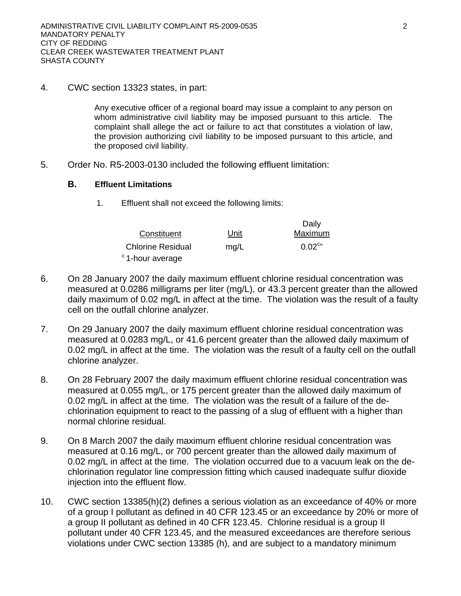4. CWC section 13323 states, in part:

Any executive officer of a regional board may issue a complaint to any person on whom administrative civil liability may be imposed pursuant to this article. The complaint shall allege the act or failure to act that constitutes a violation of law, the provision authorizing civil liability to be imposed pursuant to this article, and the proposed civil liability.

5. Order No. R5-2003-0130 included the following effluent limitation:

#### **B. Effluent Limitations**

1. Effluent shall not exceed the following limits:

| Constituent                 | Unit | Daily<br>Maximum      |
|-----------------------------|------|-----------------------|
| <b>Chlorine Residual</b>    | mq/L | $0.02$ <sup>c</sup> " |
| <sup>c</sup> 1-hour average |      |                       |

- 6. On 28 January 2007 the daily maximum effluent chlorine residual concentration was measured at 0.0286 milligrams per liter (mg/L), or 43.3 percent greater than the allowed daily maximum of 0.02 mg/L in affect at the time. The violation was the result of a faulty cell on the outfall chlorine analyzer.
- 7. On 29 January 2007 the daily maximum effluent chlorine residual concentration was measured at 0.0283 mg/L, or 41.6 percent greater than the allowed daily maximum of 0.02 mg/L in affect at the time. The violation was the result of a faulty cell on the outfall chlorine analyzer.
- 8. On 28 February 2007 the daily maximum effluent chlorine residual concentration was measured at 0.055 mg/L, or 175 percent greater than the allowed daily maximum of 0.02 mg/L in affect at the time. The violation was the result of a failure of the dechlorination equipment to react to the passing of a slug of effluent with a higher than normal chlorine residual.
- 9. On 8 March 2007 the daily maximum effluent chlorine residual concentration was measured at 0.16 mg/L, or 700 percent greater than the allowed daily maximum of 0.02 mg/L in affect at the time. The violation occurred due to a vacuum leak on the dechlorination regulator line compression fitting which caused inadequate sulfur dioxide injection into the effluent flow.
- 10. CWC section 13385(h)(2) defines a serious violation as an exceedance of 40% or more of a group I pollutant as defined in 40 CFR 123.45 or an exceedance by 20% or more of a group II pollutant as defined in 40 CFR 123.45. Chlorine residual is a group II pollutant under 40 CFR 123.45, and the measured exceedances are therefore serious violations under CWC section 13385 (h), and are subject to a mandatory minimum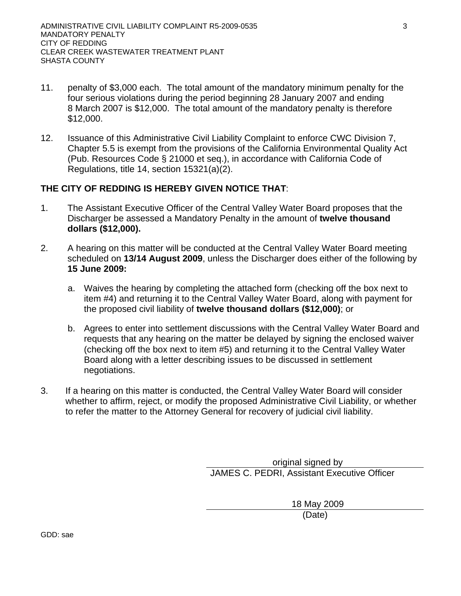- 11. penalty of \$3,000 each. The total amount of the mandatory minimum penalty for the four serious violations during the period beginning 28 January 2007 and ending 8 March 2007 is \$12,000. The total amount of the mandatory penalty is therefore \$12,000.
- 12. Issuance of this Administrative Civil Liability Complaint to enforce CWC Division 7, Chapter 5.5 is exempt from the provisions of the California Environmental Quality Act (Pub. Resources Code § 21000 et seq.), in accordance with California Code of Regulations, title 14, section 15321(a)(2).

## **THE CITY OF REDDING IS HEREBY GIVEN NOTICE THAT**:

- 1. The Assistant Executive Officer of the Central Valley Water Board proposes that the Discharger be assessed a Mandatory Penalty in the amount of **twelve thousand dollars (\$12,000).**
- 2. A hearing on this matter will be conducted at the Central Valley Water Board meeting scheduled on **13/14 August 2009**, unless the Discharger does either of the following by **15 June 2009:**
	- a. Waives the hearing by completing the attached form (checking off the box next to item #4) and returning it to the Central Valley Water Board, along with payment for the proposed civil liability of **twelve thousand dollars (\$12,000)**; or
	- b. Agrees to enter into settlement discussions with the Central Valley Water Board and requests that any hearing on the matter be delayed by signing the enclosed waiver (checking off the box next to item #5) and returning it to the Central Valley Water Board along with a letter describing issues to be discussed in settlement negotiations.
- 3. If a hearing on this matter is conducted, the Central Valley Water Board will consider whether to affirm, reject, or modify the proposed Administrative Civil Liability, or whether to refer the matter to the Attorney General for recovery of judicial civil liability.

 original signed by JAMES C. PEDRI, Assistant Executive Officer

> 18 May 2009 (Date)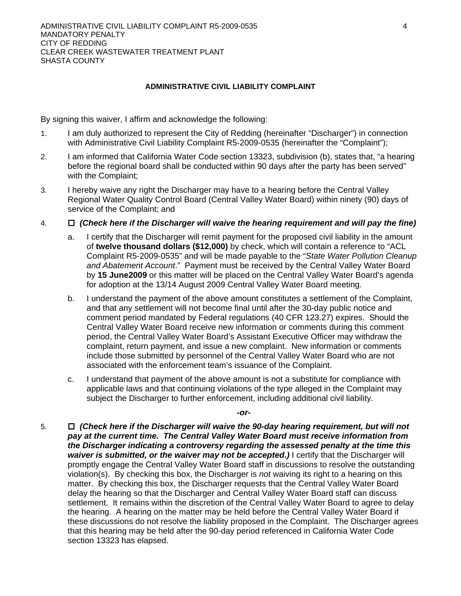#### **ADMINISTRATIVE CIVIL LIABILITY COMPLAINT**

By signing this waiver, I affirm and acknowledge the following:

- 1. I am duly authorized to represent the City of Redding (hereinafter "Discharger") in connection with Administrative Civil Liability Complaint R5-2009-0535 (hereinafter the "Complaint"):
- 2. I am informed that California Water Code section 13323, subdivision (b), states that, "a hearing before the regional board shall be conducted within 90 days after the party has been served" with the Complaint;
- 3. I hereby waive any right the Discharger may have to a hearing before the Central Valley Regional Water Quality Control Board (Central Valley Water Board) within ninety (90) days of service of the Complaint; and
- 4. *(Check here if the Discharger will waive the hearing requirement and will pay the fine)* 
	- a. I certify that the Discharger will remit payment for the proposed civil liability in the amount of **twelve thousand dollars (\$12,000)** by check, which will contain a reference to "ACL Complaint R5-2009-0535" and will be made payable to the "*State Water Pollution Cleanup and Abatement Account*." Payment must be received by the Central Valley Water Board by **15 June2009** or this matter will be placed on the Central Valley Water Board's agenda for adoption at the 13/14 August 2009 Central Valley Water Board meeting.
	- b. I understand the payment of the above amount constitutes a settlement of the Complaint, and that any settlement will not become final until after the 30-day public notice and comment period mandated by Federal regulations (40 CFR 123.27) expires. Should the Central Valley Water Board receive new information or comments during this comment period, the Central Valley Water Board's Assistant Executive Officer may withdraw the complaint, return payment, and issue a new complaint. New information or comments include those submitted by personnel of the Central Valley Water Board who are not associated with the enforcement team's issuance of the Complaint.
	- c. I understand that payment of the above amount is not a substitute for compliance with applicable laws and that continuing violations of the type alleged in the Complaint may subject the Discharger to further enforcement, including additional civil liability.

*-or-*

5.  *(Check here if the Discharger will waive the 90-day hearing requirement, but will not pay at the current time. The Central Valley Water Board must receive information from the Discharger indicating a controversy regarding the assessed penalty at the time this waiver is submitted, or the waiver may not be accepted.)* I certify that the Discharger will promptly engage the Central Valley Water Board staff in discussions to resolve the outstanding violation(s). By checking this box, the Discharger is *not* waiving its right to a hearing on this matter. By checking this box, the Discharger requests that the Central Valley Water Board delay the hearing so that the Discharger and Central Valley Water Board staff can discuss settlement. It remains within the discretion of the Central Valley Water Board to agree to delay the hearing. A hearing on the matter may be held before the Central Valley Water Board if these discussions do not resolve the liability proposed in the Complaint. The Discharger agrees that this hearing may be held after the 90-day period referenced in California Water Code section 13323 has elapsed.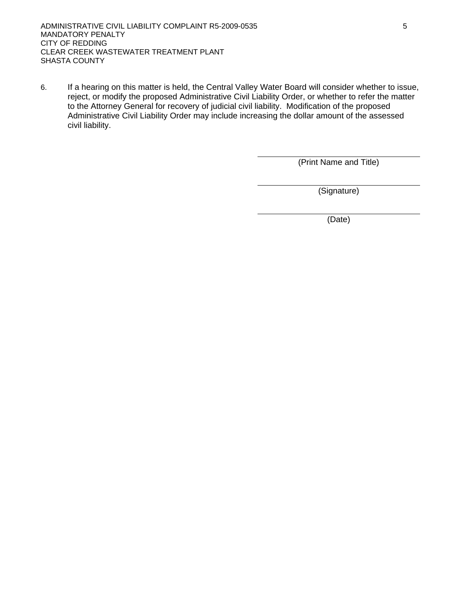6. If a hearing on this matter is held, the Central Valley Water Board will consider whether to issue, reject, or modify the proposed Administrative Civil Liability Order, or whether to refer the matter to the Attorney General for recovery of judicial civil liability. Modification of the proposed Administrative Civil Liability Order may include increasing the dollar amount of the assessed civil liability.

(Print Name and Title)

(Signature)

(Date)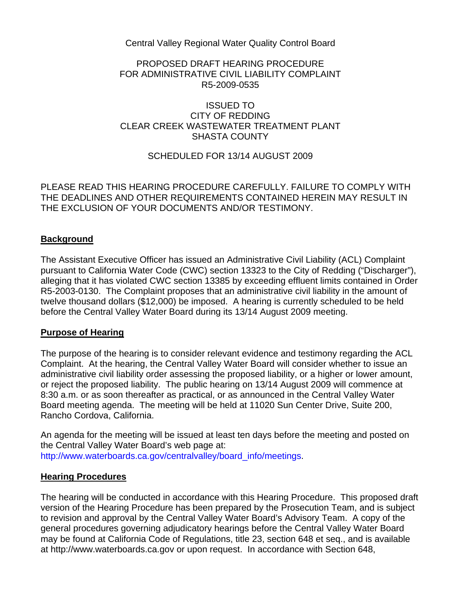Central Valley Regional Water Quality Control Board

## PROPOSED DRAFT HEARING PROCEDURE FOR ADMINISTRATIVE CIVIL LIABILITY COMPLAINT R5-2009-0535

## ISSUED TO CITY OF REDDING CLEAR CREEK WASTEWATER TREATMENT PLANT SHASTA COUNTY

## SCHEDULED FOR 13/14 AUGUST 2009

PLEASE READ THIS HEARING PROCEDURE CAREFULLY. FAILURE TO COMPLY WITH THE DEADLINES AND OTHER REQUIREMENTS CONTAINED HEREIN MAY RESULT IN THE EXCLUSION OF YOUR DOCUMENTS AND/OR TESTIMONY.

## **Background**

The Assistant Executive Officer has issued an Administrative Civil Liability (ACL) Complaint pursuant to California Water Code (CWC) section 13323 to the City of Redding ("Discharger"), alleging that it has violated CWC section 13385 by exceeding effluent limits contained in Order R5-2003-0130. The Complaint proposes that an administrative civil liability in the amount of twelve thousand dollars (\$12,000) be imposed. A hearing is currently scheduled to be held before the Central Valley Water Board during its 13/14 August 2009 meeting.

## **Purpose of Hearing**

The purpose of the hearing is to consider relevant evidence and testimony regarding the ACL Complaint. At the hearing, the Central Valley Water Board will consider whether to issue an administrative civil liability order assessing the proposed liability, or a higher or lower amount, or reject the proposed liability. The public hearing on 13/14 August 2009 will commence at 8:30 a.m. or as soon thereafter as practical, or as announced in the Central Valley Water Board meeting agenda. The meeting will be held at 11020 Sun Center Drive, Suite 200, Rancho Cordova, California.

An agenda for the meeting will be issued at least ten days before the meeting and posted on the Central Valley Water Board's web page at:

http://www.waterboards.ca.gov/centralvalley/board\_info/meetings.

#### **Hearing Procedures**

The hearing will be conducted in accordance with this Hearing Procedure. This proposed draft version of the Hearing Procedure has been prepared by the Prosecution Team, and is subject to revision and approval by the Central Valley Water Board's Advisory Team. A copy of the general procedures governing adjudicatory hearings before the Central Valley Water Board may be found at California Code of Regulations, title 23, section 648 et seq., and is available at http://www.waterboards.ca.gov or upon request. In accordance with Section 648,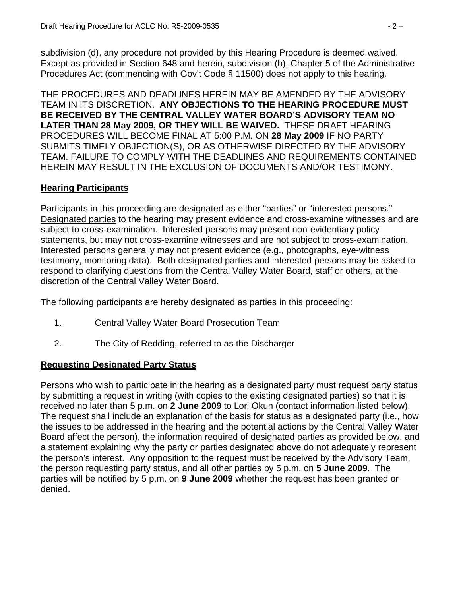subdivision (d), any procedure not provided by this Hearing Procedure is deemed waived. Except as provided in Section 648 and herein, subdivision (b), Chapter 5 of the Administrative Procedures Act (commencing with Gov't Code § 11500) does not apply to this hearing.

THE PROCEDURES AND DEADLINES HEREIN MAY BE AMENDED BY THE ADVISORY TEAM IN ITS DISCRETION. **ANY OBJECTIONS TO THE HEARING PROCEDURE MUST BE RECEIVED BY THE CENTRAL VALLEY WATER BOARD'S ADVISORY TEAM NO LATER THAN 28 May 2009, OR THEY WILL BE WAIVED.** THESE DRAFT HEARING PROCEDURES WILL BECOME FINAL AT 5:00 P.M. ON **28 May 2009** IF NO PARTY SUBMITS TIMELY OBJECTION(S), OR AS OTHERWISE DIRECTED BY THE ADVISORY TEAM. FAILURE TO COMPLY WITH THE DEADLINES AND REQUIREMENTS CONTAINED HEREIN MAY RESULT IN THE EXCLUSION OF DOCUMENTS AND/OR TESTIMONY.

# **Hearing Participants**

Participants in this proceeding are designated as either "parties" or "interested persons." Designated parties to the hearing may present evidence and cross-examine witnesses and are subject to cross-examination. Interested persons may present non-evidentiary policy statements, but may not cross-examine witnesses and are not subject to cross-examination. Interested persons generally may not present evidence (e.g., photographs, eye-witness testimony, monitoring data). Both designated parties and interested persons may be asked to respond to clarifying questions from the Central Valley Water Board, staff or others, at the discretion of the Central Valley Water Board.

The following participants are hereby designated as parties in this proceeding:

- 1. Central Valley Water Board Prosecution Team
- 2. The City of Redding, referred to as the Discharger

# **Requesting Designated Party Status**

Persons who wish to participate in the hearing as a designated party must request party status by submitting a request in writing (with copies to the existing designated parties) so that it is received no later than 5 p.m. on **2 June 2009** to Lori Okun (contact information listed below). The request shall include an explanation of the basis for status as a designated party (i.e., how the issues to be addressed in the hearing and the potential actions by the Central Valley Water Board affect the person), the information required of designated parties as provided below, and a statement explaining why the party or parties designated above do not adequately represent the person's interest. Any opposition to the request must be received by the Advisory Team, the person requesting party status, and all other parties by 5 p.m. on **5 June 2009**. The parties will be notified by 5 p.m. on **9 June 2009** whether the request has been granted or denied.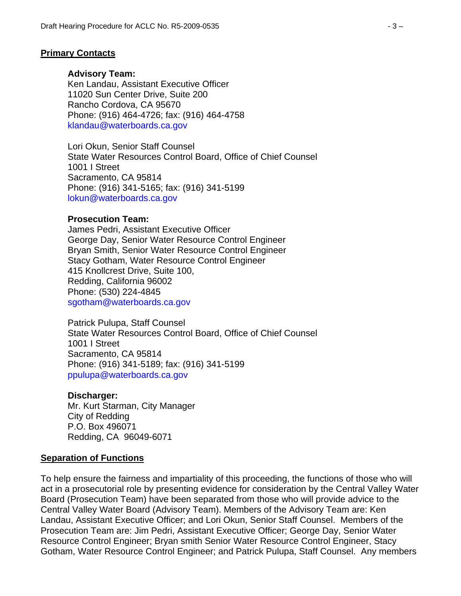### **Primary Contacts**

#### **Advisory Team:**

Ken Landau, Assistant Executive Officer 11020 Sun Center Drive, Suite 200 Rancho Cordova, CA 95670 Phone: (916) 464-4726; fax: (916) 464-4758 klandau@waterboards.ca.gov

Lori Okun, Senior Staff Counsel State Water Resources Control Board, Office of Chief Counsel 1001 I Street Sacramento, CA 95814 Phone: (916) 341-5165; fax: (916) 341-5199 lokun@waterboards.ca.gov

### **Prosecution Team:**

James Pedri, Assistant Executive Officer George Day, Senior Water Resource Control Engineer Bryan Smith, Senior Water Resource Control Engineer Stacy Gotham, Water Resource Control Engineer 415 Knollcrest Drive, Suite 100, Redding, California 96002 Phone: (530) 224-4845 sgotham@waterboards.ca.gov

Patrick Pulupa, Staff Counsel State Water Resources Control Board, Office of Chief Counsel 1001 I Street Sacramento, CA 95814 Phone: (916) 341-5189; fax: (916) 341-5199 ppulupa@waterboards.ca.gov

#### **Discharger:**

Mr. Kurt Starman, City Manager City of Redding P.O. Box 496071 Redding, CA 96049-6071

#### **Separation of Functions**

To help ensure the fairness and impartiality of this proceeding, the functions of those who will act in a prosecutorial role by presenting evidence for consideration by the Central Valley Water Board (Prosecution Team) have been separated from those who will provide advice to the Central Valley Water Board (Advisory Team). Members of the Advisory Team are: Ken Landau, Assistant Executive Officer; and Lori Okun, Senior Staff Counsel. Members of the Prosecution Team are: Jim Pedri, Assistant Executive Officer; George Day, Senior Water Resource Control Engineer; Bryan smith Senior Water Resource Control Engineer, Stacy Gotham, Water Resource Control Engineer; and Patrick Pulupa, Staff Counsel. Any members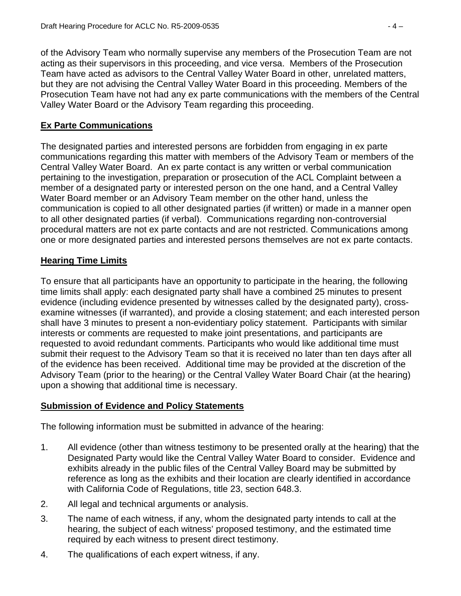of the Advisory Team who normally supervise any members of the Prosecution Team are not acting as their supervisors in this proceeding, and vice versa. Members of the Prosecution Team have acted as advisors to the Central Valley Water Board in other, unrelated matters, but they are not advising the Central Valley Water Board in this proceeding. Members of the Prosecution Team have not had any ex parte communications with the members of the Central Valley Water Board or the Advisory Team regarding this proceeding.

# **Ex Parte Communications**

The designated parties and interested persons are forbidden from engaging in ex parte communications regarding this matter with members of the Advisory Team or members of the Central Valley Water Board. An ex parte contact is any written or verbal communication pertaining to the investigation, preparation or prosecution of the ACL Complaint between a member of a designated party or interested person on the one hand, and a Central Valley Water Board member or an Advisory Team member on the other hand, unless the communication is copied to all other designated parties (if written) or made in a manner open to all other designated parties (if verbal). Communications regarding non-controversial procedural matters are not ex parte contacts and are not restricted. Communications among one or more designated parties and interested persons themselves are not ex parte contacts.

# **Hearing Time Limits**

To ensure that all participants have an opportunity to participate in the hearing, the following time limits shall apply: each designated party shall have a combined 25 minutes to present evidence (including evidence presented by witnesses called by the designated party), crossexamine witnesses (if warranted), and provide a closing statement; and each interested person shall have 3 minutes to present a non-evidentiary policy statement. Participants with similar interests or comments are requested to make joint presentations, and participants are requested to avoid redundant comments. Participants who would like additional time must submit their request to the Advisory Team so that it is received no later than ten days after all of the evidence has been received. Additional time may be provided at the discretion of the Advisory Team (prior to the hearing) or the Central Valley Water Board Chair (at the hearing) upon a showing that additional time is necessary.

# **Submission of Evidence and Policy Statements**

The following information must be submitted in advance of the hearing:

- 1. All evidence (other than witness testimony to be presented orally at the hearing) that the Designated Party would like the Central Valley Water Board to consider. Evidence and exhibits already in the public files of the Central Valley Board may be submitted by reference as long as the exhibits and their location are clearly identified in accordance with California Code of Regulations, title 23, section 648.3.
- 2. All legal and technical arguments or analysis.
- 3. The name of each witness, if any, whom the designated party intends to call at the hearing, the subject of each witness' proposed testimony, and the estimated time required by each witness to present direct testimony.
- 4. The qualifications of each expert witness, if any.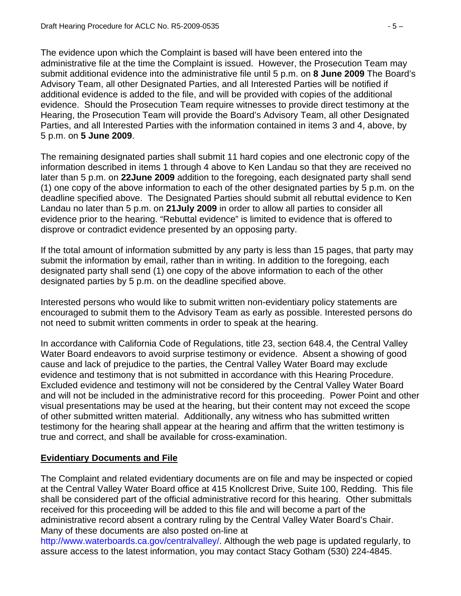The evidence upon which the Complaint is based will have been entered into the administrative file at the time the Complaint is issued. However, the Prosecution Team may submit additional evidence into the administrative file until 5 p.m. on **8 June 2009** The Board's Advisory Team, all other Designated Parties, and all Interested Parties will be notified if additional evidence is added to the file, and will be provided with copies of the additional evidence. Should the Prosecution Team require witnesses to provide direct testimony at the Hearing, the Prosecution Team will provide the Board's Advisory Team, all other Designated Parties, and all Interested Parties with the information contained in items 3 and 4, above, by 5 p.m. on **5 June 2009**.

The remaining designated parties shall submit 11 hard copies and one electronic copy of the information described in items 1 through 4 above to Ken Landau so that they are received no later than 5 p.m. on **22June 2009** addition to the foregoing, each designated party shall send (1) one copy of the above information to each of the other designated parties by 5 p.m. on the deadline specified above. The Designated Parties should submit all rebuttal evidence to Ken Landau no later than 5 p.m. on **21July 2009** in order to allow all parties to consider all evidence prior to the hearing. "Rebuttal evidence" is limited to evidence that is offered to disprove or contradict evidence presented by an opposing party.

If the total amount of information submitted by any party is less than 15 pages, that party may submit the information by email, rather than in writing. In addition to the foregoing, each designated party shall send (1) one copy of the above information to each of the other designated parties by 5 p.m. on the deadline specified above.

Interested persons who would like to submit written non-evidentiary policy statements are encouraged to submit them to the Advisory Team as early as possible. Interested persons do not need to submit written comments in order to speak at the hearing.

In accordance with California Code of Regulations, title 23, section 648.4, the Central Valley Water Board endeavors to avoid surprise testimony or evidence. Absent a showing of good cause and lack of prejudice to the parties, the Central Valley Water Board may exclude evidence and testimony that is not submitted in accordance with this Hearing Procedure. Excluded evidence and testimony will not be considered by the Central Valley Water Board and will not be included in the administrative record for this proceeding. Power Point and other visual presentations may be used at the hearing, but their content may not exceed the scope of other submitted written material. Additionally, any witness who has submitted written testimony for the hearing shall appear at the hearing and affirm that the written testimony is true and correct, and shall be available for cross-examination.

# **Evidentiary Documents and File**

The Complaint and related evidentiary documents are on file and may be inspected or copied at the Central Valley Water Board office at 415 Knollcrest Drive, Suite 100, Redding. This file shall be considered part of the official administrative record for this hearing. Other submittals received for this proceeding will be added to this file and will become a part of the administrative record absent a contrary ruling by the Central Valley Water Board's Chair. Many of these documents are also posted on-line at

http://www.waterboards.ca.gov/centralvalley/. Although the web page is updated regularly, to assure access to the latest information, you may contact Stacy Gotham (530) 224-4845.